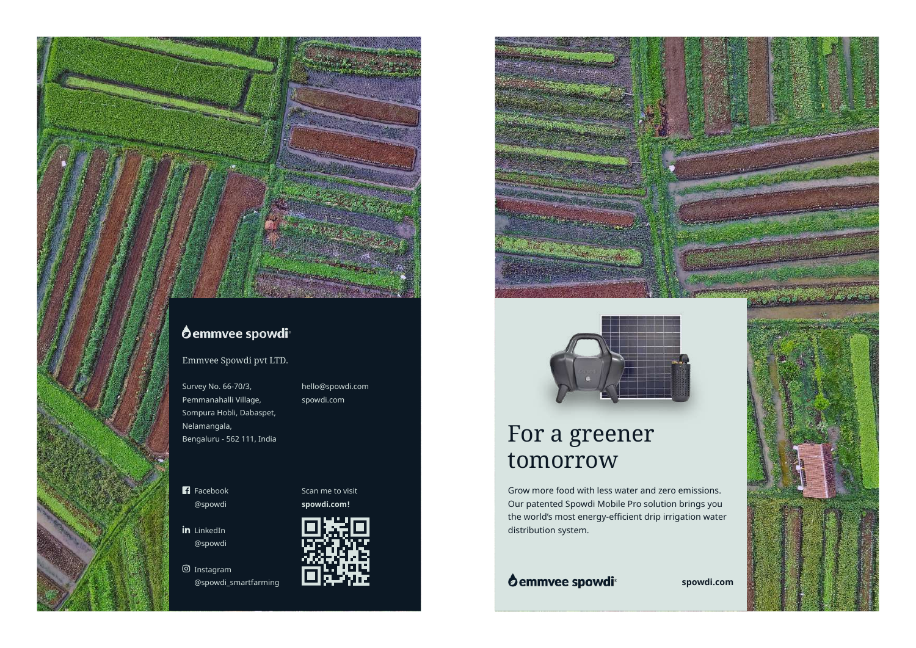**O**emmvee spowdi<sup>®</sup>

Emmvee Spowdi pvt LTD.

Survey No. 66-70/3, Pemmanahalli Village, Sompura Hobli, Dabaspet, Nelamangala, Bengaluru - 562 111, India hello@spowdi.com spowdi.com

**F**acebook @spowdi

in LinkedIn @spowdi

Instagram



**spowdi.com!**

Scan me to visit







## For a greener tomorrow

Grow more food with less water and zero emissions. Our patented Spowdi Mobile Pro solution brings you the world's most energy-efficient drip irrigation water distribution system.

@spowdi\_smartfarming **spowdi.com**